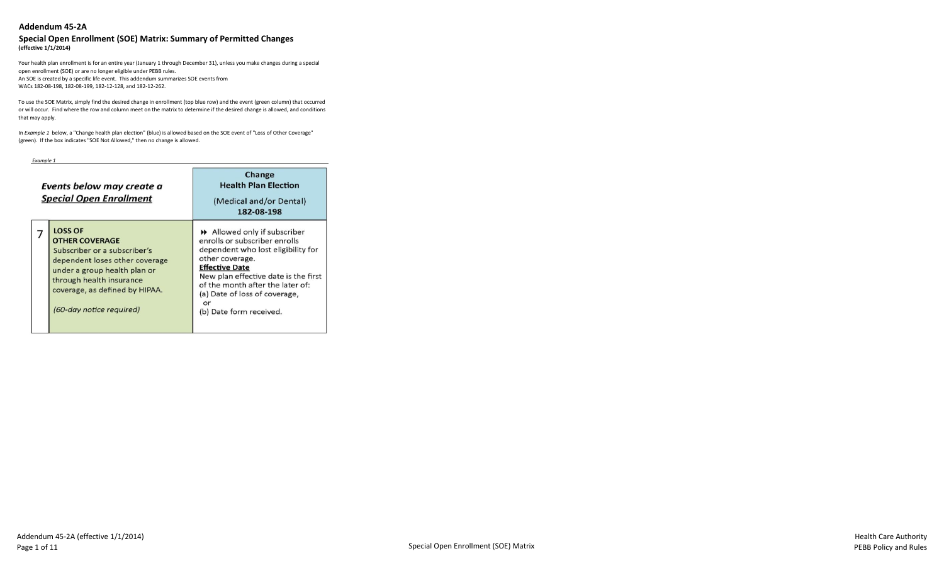#### **Special Open Enrollment (SOE) Matrix: Summary of Permitted Changes (effective 1/1/2014)**

Your health plan enrollment is for an entire year (January 1 through December 31), unless you make changes during a special open enrollment (SOE) or are no longer eligible under PEBB rules. An SOE is created by a specific life event. This addendum summarizes SOE events from WACs 182-08-198, 182-08-199, 182-12-128, and 182-12-262.

To use the SOE Matrix, simply find the desired change in enrollment (top blue row) and the event (green column) that occurred or will occur. Find where the row and column meet on the matrix to determine if the desired change is allowed, and conditions that may apply.

In *Example 1* below, a "Change health plan election" (blue) is allowed based on the SOE event of "Loss of Other Coverage" (green). If the box indicates "SOE Not Allowed," then no change is allowed.

*Example 1*

| Events below may create a<br><b>Special Open Enrollment</b>                                                                                                                                                                         | Change<br><b>Health Plan Election</b><br>(Medical and/or Dental)<br>182-08-198                                                                                                                                                                                                              |
|-------------------------------------------------------------------------------------------------------------------------------------------------------------------------------------------------------------------------------------|---------------------------------------------------------------------------------------------------------------------------------------------------------------------------------------------------------------------------------------------------------------------------------------------|
| <b>LOSS OF</b><br><b>OTHER COVERAGE</b><br>Subscriber or a subscriber's<br>dependent loses other coverage<br>under a group health plan or<br>through health insurance<br>coverage, as defined by HIPAA.<br>(60-day notice required) | Allowed only if subscriber<br>enrolls or subscriber enrolls<br>dependent who lost eligibility for<br>other coverage.<br><b>Effective Date</b><br>New plan effective date is the first<br>of the month after the later of:<br>(a) Date of loss of coverage,<br>or<br>(b) Date form received. |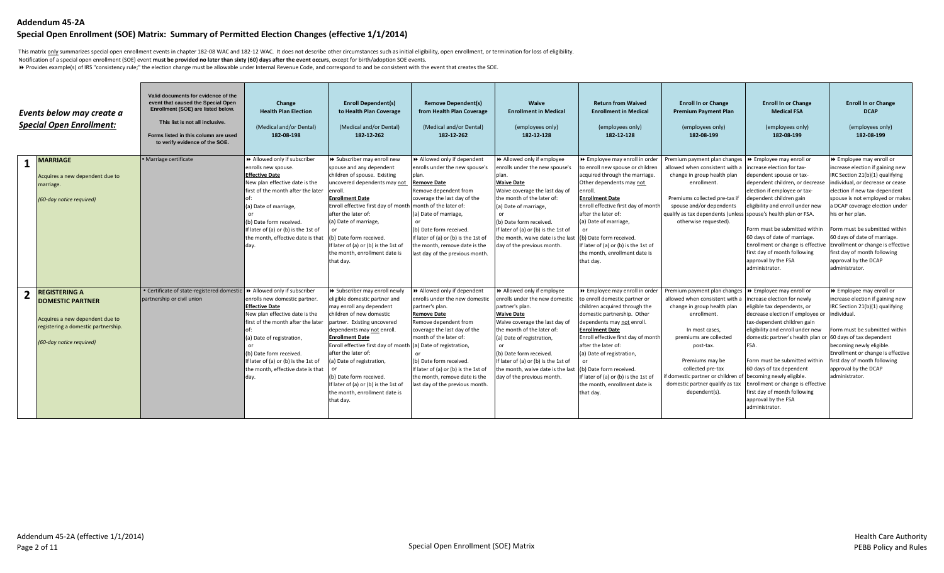#### **Special Open Enrollment (SOE) Matrix: Summary of Permitted Election Changes (effective 1/1/2014)**

This matrix *only* summarizes special open enrollment events in chapter 182-08 WAC and 182-12 WAC. It does not describe other circumstances such as initial eligibility, open enrollment, or termination for loss of eligibili

Notification of a special open enrollment (SOE) event **must be provided no later than sixty (60) days after the event occurs**, except for birth/adoption SOE events.

8 Provides example(s) of IRS "consistency rule;" the election change must be allowable under Internal Revenue Code, and correspond to and be consistent with the event that creates the SOE.

|                | Events below may create a<br><b>Special Open Enrollment:</b>                                                                                          | Valid documents for evidence of the<br>event that caused the Special Open<br>Enrollment (SOE) are listed below.<br>This list is not all inclusive.<br>Forms listed in this column are used<br>to verify evidence of the SOE. | Change<br><b>Health Plan Election</b><br>(Medical and/or Dental)<br>182-08-198                                                                                                                                                                                                                                | <b>Enroll Dependent(s)</b><br>to Health Plan Coverage<br>(Medical and/or Dental)<br>182-12-262                                                                                                                                                                                                                                                                                                                                                      | <b>Remove Dependent(s)</b><br>from Health Plan Coverage<br>(Medical and/or Dental)<br>182-12-262                                                                                                                                                                                                                                  | <b>Waive</b><br><b>Enrollment in Medical</b><br>(employees only)<br>182-12-128                                                                                                                                                                                                                                                       | <b>Return from Waived</b><br><b>Enrollment in Medical</b><br>(employees only)<br>182-12-128                                                                                                                                                                                                                                                                                                          | <b>Enroll In or Change</b><br><b>Premium Payment Plan</b><br>(employees only)<br>182-08-199                                                                                                                                                                                                                                      | <b>Enroll In or Change</b><br><b>Medical FSA</b><br>(employees only)<br>182-08-199                                                                                                                                                                                                                                                                                                                                                             | <b>Enroll In or Change</b><br><b>DCAP</b><br>(employees only)<br>182-08-199                                                                                                                                                                                                                                                                                                                                                                   |
|----------------|-------------------------------------------------------------------------------------------------------------------------------------------------------|------------------------------------------------------------------------------------------------------------------------------------------------------------------------------------------------------------------------------|---------------------------------------------------------------------------------------------------------------------------------------------------------------------------------------------------------------------------------------------------------------------------------------------------------------|-----------------------------------------------------------------------------------------------------------------------------------------------------------------------------------------------------------------------------------------------------------------------------------------------------------------------------------------------------------------------------------------------------------------------------------------------------|-----------------------------------------------------------------------------------------------------------------------------------------------------------------------------------------------------------------------------------------------------------------------------------------------------------------------------------|--------------------------------------------------------------------------------------------------------------------------------------------------------------------------------------------------------------------------------------------------------------------------------------------------------------------------------------|------------------------------------------------------------------------------------------------------------------------------------------------------------------------------------------------------------------------------------------------------------------------------------------------------------------------------------------------------------------------------------------------------|----------------------------------------------------------------------------------------------------------------------------------------------------------------------------------------------------------------------------------------------------------------------------------------------------------------------------------|------------------------------------------------------------------------------------------------------------------------------------------------------------------------------------------------------------------------------------------------------------------------------------------------------------------------------------------------------------------------------------------------------------------------------------------------|-----------------------------------------------------------------------------------------------------------------------------------------------------------------------------------------------------------------------------------------------------------------------------------------------------------------------------------------------------------------------------------------------------------------------------------------------|
|                | <b>MARRIAGE</b><br>Acquires a new dependent due to<br>marriage.<br>(60-day notice required)                                                           | · Marriage certificate                                                                                                                                                                                                       | >> Allowed only if subscriber<br>enrolls new spouse.<br><b>Effective Date</b><br>New plan effective date is the<br>first of the month after the later<br>(a) Date of marriage,<br>(b) Date form received.<br>If later of (a) or (b) is the 1st of<br>the month, effective date is that<br>day.                | >> Subscriber may enroll new<br>spouse and any dependent<br>children of spouse. Existing<br>uncovered dependents may not<br>enroll.<br><b>Enrollment Date</b><br>Enroll effective first day of month month of the later of:<br>after the later of:<br>(a) Date of marriage,<br>(b) Date form received.<br>If later of (a) or (b) is the 1st of<br>the month, enrollment date is<br>that day.                                                        | >> Allowed only if dependent<br>enrolls under the new spouse's<br>plan.<br><b>Remove Date</b><br>Remove dependent from<br>coverage the last day of the<br>(a) Date of marriage,<br>(b) Date form received.<br>If later of (a) or (b) is the 1st of<br>the month, remove date is the<br>last day of the previous month.            | Allowed only if employee<br>enrolls under the new spouse's<br>plan.<br><b>Waive Date</b><br>Waive coverage the last day of<br>the month of the later of:<br>(a) Date of marriage,<br>(b) Date form received.<br>If later of (a) or (b) is the 1st of<br>the month, waive date is the last<br>day of the previous month.              | >> Employee may enroll in order<br>to enroll new spouse or children<br>acquired through the marriage.<br>Other dependents may not<br>enroll<br><b>Enrollment Date</b><br>Enroll effective first day of month<br>after the later of:<br>(a) Date of marriage,<br>(b) Date form received.<br>If later of (a) or (b) is the 1st of<br>the month, enrollment date is<br>that day.                        | Premium payment plan changes<br>allowed when consistent with a<br>change in group health plan<br>enrollment.<br>Premiums collected pre-tax if<br>spouse and/or dependents<br>qualify as tax dependents (unless spouse's health plan or FSA.<br>otherwise requested).                                                             | ▶ Employee may enroll or<br>increase election for tax-<br>dependent spouse or tax-<br>dependent children, or decrease<br>election if employee or tax-<br>dependent children gain<br>eligibility and enroll under new<br>Form must be submitted within<br>60 days of date of marriage.<br>Enrollment or change is effective<br>first day of month following<br>approval by the FSA<br>administrator.                                            | ▶ Employee may enroll or<br>increase election if gaining new<br>IRC Section 21(b)(1) qualifying<br>individual, or decrease or cease<br>election if new tax-dependent<br>spouse is not employed or makes<br>a DCAP coverage election under<br>his or her plan.<br>Form must be submitted within<br>60 days of date of marriage.<br>Enrollment or change is effective<br>first day of month following<br>approval by the DCAP<br>administrator. |
| $\overline{2}$ | <b>REGISTERING A</b><br><b>DOMESTIC PARTNER</b><br>Acquires a new dependent due to<br>registering a domestic partnership.<br>(60-day notice required) | • Certificate of state-registered domestic<br>partnership or civil union                                                                                                                                                     | >> Allowed only if subscriber<br>enrolls new domestic partner.<br><b>Effective Date</b><br>New plan effective date is the<br>Ifirst of the month after the later<br>(a) Date of registration,<br>(b) Date form received.<br>If later of (a) or (b) is the 1st of<br>the month, effective date is that<br>day. | > Subscriber may enroll newly<br>eligible domestic partner and<br>may enroll any dependent<br>children of new domestic<br>partner. Existing uncovered<br>dependents may not enroll.<br><b>Enrollment Date</b><br>Enroll effective first day of month (a) Date of registration,<br>after the later of:<br>(a) Date of registration,<br>(b) Date form received.<br>If later of (a) or (b) is the 1st of<br>the month, enrollment date is<br>that day. | >> Allowed only if dependent<br>enrolls under the new domestic<br>partner's plan.<br><b>Remove Date</b><br>Remove dependent from<br>coverage the last day of the<br>month of the later of:<br>(b) Date form received.<br>If later of (a) or (b) is the 1st of<br>the month, remove date is the<br>last day of the previous month. | Allowed only if employee<br>enrolls under the new domestic<br>partner's plan.<br><b>Waive Date</b><br>Waive coverage the last day of<br>the month of the later of:<br>(a) Date of registration,<br>(b) Date form received.<br>If later of (a) or (b) is the 1st of<br>the month, waive date is the las<br>day of the previous month. | >> Employee may enroll in order<br>to enroll domestic partner or<br>children acquired through the<br>domestic partnership. Other<br>dependents may not enroll.<br><b>Enrollment Date</b><br>Enroll effective first day of month<br>after the later of:<br>(a) Date of registration,<br>(b) Date form received.<br>If later of (a) or (b) is the 1st of<br>the month, enrollment date is<br>that day. | Premium payment plan changes<br>allowed when consistent with a<br>change in group health plan<br>enrollment.<br>In most cases,<br>premiums are collected<br>post-tax.<br>Premiums may be<br>collected pre-tax<br>if domestic partner or children of becoming newly eligible.<br>domestic partner qualify as tax<br>dependent(s). | ▶ Employee may enroll or<br>increase election for newly<br>eligible tax dependents, or<br>decrease election if employee or<br>tax-dependent children gain<br>eligibility and enroll under new<br>domestic partner's health plan or 60 days of tax dependent<br>FSA.<br>Form must be submitted within<br>60 days of tax dependent<br>Enrollment or change is effective<br>first day of month following<br>approval by the FSA<br>administrator. | → Employee may enroll or<br>increase election if gaining new<br>IRC Section 21(b)(1) qualifying<br>individual.<br>Form must be submitted within<br>becoming newly eligible.<br>Enrollment or change is effective<br>first day of month following<br>approval by the DCAP<br>administrator.                                                                                                                                                    |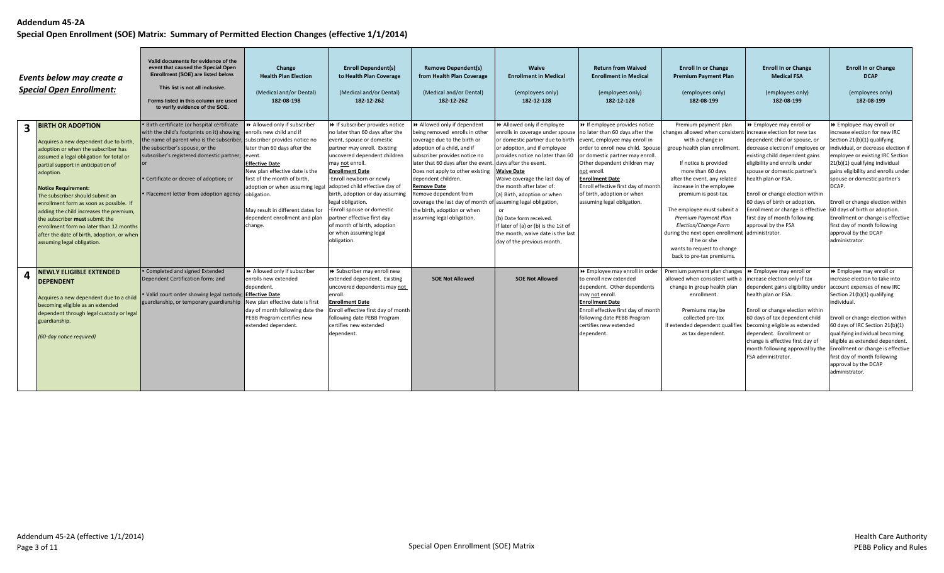|                         | Events below may create a<br><b>Special Open Enrollment:</b>                                                                                                                                                                                                                                                                                                                                                                                                                                                            | Valid documents for evidence of the<br>event that caused the Special Open<br>Enrollment (SOE) are listed below.<br>This list is not all inclusive.<br>Forms listed in this column are used<br>to verify evidence of the SOE.                                                                                                                                                            | Change<br><b>Health Plan Election</b><br>(Medical and/or Dental)<br>182-08-198                                                                                                                                                                                                                              | <b>Enroll Dependent(s)</b><br>to Health Plan Coverage<br>(Medical and/or Dental)<br>182-12-262                                                                                                                                                                                                                                                                                                                                         | <b>Remove Dependent(s)</b><br>from Health Plan Coverage<br>(Medical and/or Dental)<br>182-12-262                                                                                                                                                                                                                                                                                                                                                                   | Waive<br><b>Enrollment in Medical</b><br>(employees only)<br>182-12-128                                                                                                                                                                                                                                                                                                                                                                                                     | <b>Return from Waived</b><br><b>Enrollment in Medical</b><br>(employees only)<br>182-12-128                                                                                                                                                                                                                        | <b>Enroll In or Change</b><br><b>Premium Payment Plan</b><br>(employees only)<br>182-08-199                                                                                                                                                                                                                                                                                                                                                                                            | <b>Enroll In or Change</b><br><b>Medical FSA</b><br>(employees only)<br>182-08-199                                                                                                                                                                                                                                                                                                                                  | <b>Enroll In or Change</b><br><b>DCAP</b><br>(employees only)<br>182-08-199                                                                                                                                                                                                                                                                                                                                                               |
|-------------------------|-------------------------------------------------------------------------------------------------------------------------------------------------------------------------------------------------------------------------------------------------------------------------------------------------------------------------------------------------------------------------------------------------------------------------------------------------------------------------------------------------------------------------|-----------------------------------------------------------------------------------------------------------------------------------------------------------------------------------------------------------------------------------------------------------------------------------------------------------------------------------------------------------------------------------------|-------------------------------------------------------------------------------------------------------------------------------------------------------------------------------------------------------------------------------------------------------------------------------------------------------------|----------------------------------------------------------------------------------------------------------------------------------------------------------------------------------------------------------------------------------------------------------------------------------------------------------------------------------------------------------------------------------------------------------------------------------------|--------------------------------------------------------------------------------------------------------------------------------------------------------------------------------------------------------------------------------------------------------------------------------------------------------------------------------------------------------------------------------------------------------------------------------------------------------------------|-----------------------------------------------------------------------------------------------------------------------------------------------------------------------------------------------------------------------------------------------------------------------------------------------------------------------------------------------------------------------------------------------------------------------------------------------------------------------------|--------------------------------------------------------------------------------------------------------------------------------------------------------------------------------------------------------------------------------------------------------------------------------------------------------------------|----------------------------------------------------------------------------------------------------------------------------------------------------------------------------------------------------------------------------------------------------------------------------------------------------------------------------------------------------------------------------------------------------------------------------------------------------------------------------------------|---------------------------------------------------------------------------------------------------------------------------------------------------------------------------------------------------------------------------------------------------------------------------------------------------------------------------------------------------------------------------------------------------------------------|-------------------------------------------------------------------------------------------------------------------------------------------------------------------------------------------------------------------------------------------------------------------------------------------------------------------------------------------------------------------------------------------------------------------------------------------|
| $\overline{\mathbf{3}}$ | <b>BIRTH OR ADOPTION</b><br>Acquires a new dependent due to birth,<br>adoption or when the subscriber has<br>assumed a legal obligation for total or<br>partial support in anticipation of<br>adoption.<br><b>Notice Requirement:</b><br>The subscriber should submit an<br>enrollment form as soon as possible. If<br>adding the child increases the premium,<br>the subscriber must submit the<br>enrollment form no later than 12 months<br>after the date of birth, adoption, or when<br>assuming legal obligation. | · Birth certificate (or hospital certificate<br>with the child's footprints on it) showing enrolls new child and if<br>the name of parent who is the subscriber, subscriber provides notice no<br>the subscriber's spouse, or the<br>subscriber's registered domestic partner; event.<br>• Certificate or decree of adoption; or<br>. Placement letter from adoption agency obligation. | >> Allowed only if subscriber<br>later than 60 days after the<br><b>Effective Date</b><br>New plan effective date is the<br>first of the month of birth,<br>adoption or when assuming legal adopted child effective day of<br>May result in different dates for<br>dependent enrollment and plan<br>change. | >> If subscriber provides notice<br>no later than 60 days after the<br>event, spouse or domestic<br>partner may enroll. Existing<br>uncovered dependent children<br>may not enroll.<br><b>Enrollment Date</b><br>-Enroll newborn or newly<br>birth, adoption or day assuming<br>legal obligation.<br>-Enroll spouse or domestic<br>partner effective first day<br>of month of birth, adoption<br>or when assuming legal<br>obligation. | >> Allowed only if dependent<br>being removed enrolls in other<br>coverage due to the birth or<br>adoption of a child, and if<br>subscriber provides notice no<br>later that 60 days after the event. days after the event.<br>Does not apply to other existing<br>dependent children.<br><b>Remove Date</b><br>Remove dependent from<br>coverage the last day of month of assuming legal obligation,<br>the birth, adoption or when<br>assuming legal obligation. | Allowed only if employee<br>enrolls in coverage under spouse no later than 60 days after the<br>or domestic partner due to birth<br>or adoption, and if employee<br>provides notice no later than 60<br><b>Waive Date</b><br>Waive coverage the last day of<br>the month after later of:<br>(a) Birth, adoption or when<br>$\alpha$ r<br>(b) Date form received.<br>If later of (a) or (b) is the 1st of<br>the month, waive date is the last<br>day of the previous month. | >> If employee provides notice<br>event, employee may enroll in<br>order to enroll new child. Spouse<br>or domestic partner may enroll<br>Other dependent children may<br>not enroll.<br><b>Enrollment Date</b><br>Enroll effective first day of month<br>of birth, adoption or when<br>assuming legal obligation. | Premium payment plan<br>hanges allowed when consistent increase election for new tax<br>with a change in<br>group health plan enrollment.<br>If notice is provided<br>more than 60 days<br>after the event, any related<br>increase in the employee<br>premium is post-tax.<br>The employee must submit a<br>Premium Payment Plan<br>Election/Change Form<br>during the next open enrollment administrator.<br>if he or she<br>wants to request to change<br>back to pre-tax premiums. | ▶ Employee may enroll or<br>dependent child or spouse, or<br>decrease election if employee<br>existing child dependent gains<br>eligibility and enrolls under<br>spouse or domestic partner's<br>health plan or FSA.<br>Enroll or change election within<br>60 days of birth or adoption.<br>Enrollment or change is effective 60 days of birth or adoption.<br>first day of month following<br>approval by the FSA | >> Employee may enroll or<br>increase election for new IRC<br>Section 21(b)(1) qualifying<br>individual, or decrease election if<br>employee or existing IRC Section<br>21(b)(1) qualifying individual<br>gains eligibility and enrolls under<br>spouse or domestic partner's<br>DCAP.<br>Enroll or change election within<br>Enrollment or change is effective<br>first day of month following<br>approval by the DCAP<br>administrator. |
| $\overline{a}$          | <b>NEWLY ELIGIBLE EXTENDED</b><br><b>DEPENDENT</b><br>Acquires a new dependent due to a child<br>becoming eligible as an extended<br>dependent through legal custody or legal<br>guardianship.<br>(60-day notice required)                                                                                                                                                                                                                                                                                              | • Completed and signed Extended<br>Dependent Certification form; and<br>. Valid court order showing legal custody; Effective Date<br>guardianship, or temporary guardianship New plan effective date is first                                                                                                                                                                           | >> Allowed only if subscriber<br>enrolls new extended<br>dependent.<br>day of month following date the<br>PEBB Program certifies new<br>extended dependent.                                                                                                                                                 | > Subscriber may enroll new<br>extended dependent. Existing<br>uncovered dependents may not<br>enroll.<br><b>Enrollment Date</b><br>Enroll effective first day of month<br>following date PEBB Program<br>certifies new extended<br>dependent.                                                                                                                                                                                         | <b>SOE Not Allowed</b>                                                                                                                                                                                                                                                                                                                                                                                                                                             | <b>SOE Not Allowed</b>                                                                                                                                                                                                                                                                                                                                                                                                                                                      | De Employee may enroll in order<br>to enroll new extended<br>dependent. Other dependents<br>may not enroll.<br><b>Enrollment Date</b><br>Enroll effective first day of month<br>following date PEBB Program<br>certifies new extended<br>dependent.                                                                | Premium payment plan changes   >> Employee may enroll or<br>allowed when consistent with a<br>change in group health plan<br>enrollment.<br>Premiums may be<br>collected pre-tax<br>if extended dependent qualifies becoming eligible as extended<br>as tax dependent.                                                                                                                                                                                                                 | increase election only if tax<br>dependent gains eligibility under<br>health plan or FSA.<br>Enroll or change election within<br>60 days of tax dependent child<br>dependent. Enrollment or<br>change is effective first day of<br>month following approval by the Enrollment or change is effective<br>FSA administrator.                                                                                          | → Employee may enroll or<br>lincrease election to take into<br>account expenses of new IRC<br>Section 21(b)(1) qualifying<br>individual.<br>Enroll or change election within<br>60 days of IRC Section 21(b)(1)<br>qualifying individual becoming<br>eligible as extended dependent<br>first day of month following<br>approval by the DCAP<br>administrator.                                                                             |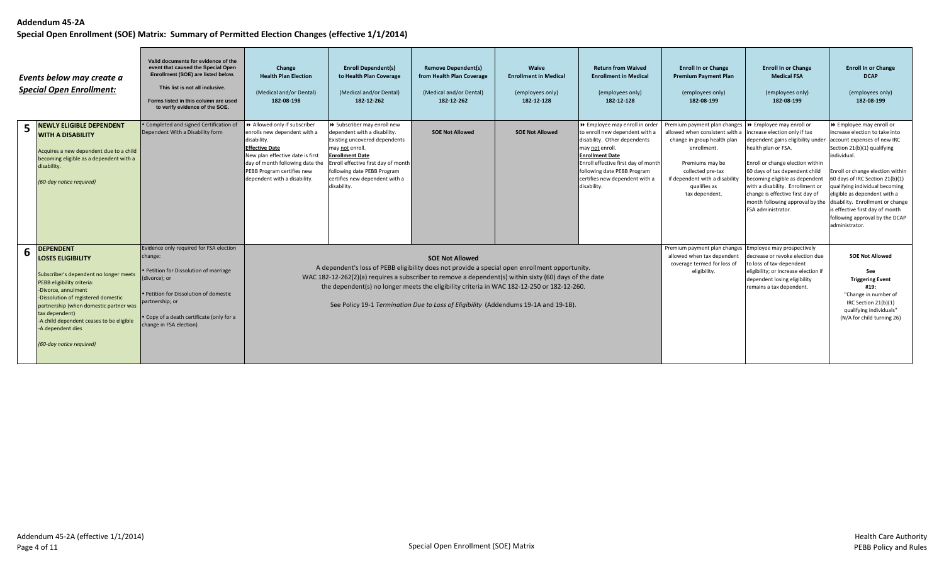| Events below may create a<br><b>Special Open Enrollment:</b> |                                                                                                                                                                                                                                                                                                                                             | Valid documents for evidence of the<br>event that caused the Special Open<br>Enrollment (SOE) are listed below.<br>This list is not all inclusive.<br>Forms listed in this column are used<br>to verify evidence of the SOE.                       | Change<br><b>Health Plan Election</b><br>(Medical and/or Dental)<br>182-08-198                                                                                                                                                             | <b>Enroll Dependent(s)</b><br>to Health Plan Coverage<br>(Medical and/or Dental)<br>182-12-262                                                                                                                                                                    | <b>Remove Dependent(s)</b><br>from Health Plan Coverage<br>(Medical and/or Dental)<br>182-12-262                                                                                                                                                                                                                                                                                                                        | Waive<br><b>Enrollment in Medical</b><br>(employees only)<br>182-12-128 | <b>Return from Waived</b><br><b>Enrollment in Medical</b><br>(employees only)<br>182-12-128                                                                                                                                                                           | <b>Enroll In or Change</b><br><b>Premium Payment Plan</b><br>(employees only)<br>182-08-199                                                                                                                                                           | <b>Enroll In or Change</b><br><b>Medical FSA</b><br>(employees only)<br>182-08-199                                                                                                                                                                                                                                                 | <b>Enroll In or Change</b><br><b>DCAP</b><br>(employees only)<br>182-08-199                                                                                                                                                                                                                                                                                                                                  |
|--------------------------------------------------------------|---------------------------------------------------------------------------------------------------------------------------------------------------------------------------------------------------------------------------------------------------------------------------------------------------------------------------------------------|----------------------------------------------------------------------------------------------------------------------------------------------------------------------------------------------------------------------------------------------------|--------------------------------------------------------------------------------------------------------------------------------------------------------------------------------------------------------------------------------------------|-------------------------------------------------------------------------------------------------------------------------------------------------------------------------------------------------------------------------------------------------------------------|-------------------------------------------------------------------------------------------------------------------------------------------------------------------------------------------------------------------------------------------------------------------------------------------------------------------------------------------------------------------------------------------------------------------------|-------------------------------------------------------------------------|-----------------------------------------------------------------------------------------------------------------------------------------------------------------------------------------------------------------------------------------------------------------------|-------------------------------------------------------------------------------------------------------------------------------------------------------------------------------------------------------------------------------------------------------|------------------------------------------------------------------------------------------------------------------------------------------------------------------------------------------------------------------------------------------------------------------------------------------------------------------------------------|--------------------------------------------------------------------------------------------------------------------------------------------------------------------------------------------------------------------------------------------------------------------------------------------------------------------------------------------------------------------------------------------------------------|
| 5                                                            | <b>NEWLY ELIGIBLE DEPENDENT</b><br><b>WITH A DISABILITY</b><br>Acquires a new dependent due to a child<br>becoming eligible as a dependent with a<br>disability.<br>(60-day notice required)                                                                                                                                                | • Completed and signed Certification of<br>Dependent With a Disability form                                                                                                                                                                        | >> Allowed only if subscriber<br>enrolls new dependent with a<br>disability.<br><b>Effective Date</b><br>New plan effective date is first<br>day of month following date the<br>PEBB Program certifies new<br>dependent with a disability. | >> Subscriber may enroll new<br>dependent with a disability.<br>Existing uncovered dependents<br>may not enroll.<br><b>Enrollment Date</b><br>Enroll effective first day of month<br>following date PEBB Program<br>certifies new dependent with a<br>disability. | <b>SOE Not Allowed</b>                                                                                                                                                                                                                                                                                                                                                                                                  | <b>SOE Not Allowed</b>                                                  | >> Employee may enroll in order<br>to enroll new dependent with a<br>disability. Other dependents<br>may not enroll.<br><b>Enrollment Date</b><br>Enroll effective first day of month<br>following date PEBB Program<br>certifies new dependent with a<br>disability. | Premium payment plan changes >>>>> Employee may enroll or<br>allowed when consistent with a<br>change in group health plan<br>enrollment.<br>Premiums may be<br>collected pre-tax<br>if dependent with a disability<br>qualifies as<br>tax dependent. | increase election only if tax<br>dependent gains eligibility under<br>health plan or FSA.<br>Enroll or change election within<br>60 days of tax dependent child<br>becoming eligible as dependent<br>with a disability. Enrollment or<br>change is effective first day of<br>month following approval by the<br>FSA administrator. | >> Employee may enroll or<br>increase election to take into<br>account expenses of new IRC<br>Section 21(b)(1) qualifying<br>individual.<br>Enroll or change election within<br>60 days of IRC Section 21(b)(1)<br>qualifying individual becoming<br>eligible as dependent with a<br>disability. Enrollment or change<br>is effective first day of month<br>following approval by the DCAP<br>administrator. |
| 6                                                            | <b>DEPENDENT</b><br><b>LOSES ELIGIBILITY</b><br>Subscriber's dependent no longer meets<br>PEBB eligibility criteria:<br>-Divorce, annulment<br>-Dissolution of registered domestic<br>partnership (when domestic partner was<br>tax dependent)<br>-A child dependent ceases to be eligible<br>-A dependent dies<br>(60-day notice required) | Evidence only required for FSA election<br>change:<br>• Petition for Dissolution of marriage<br>(divorce); or<br>. Petition for Dissolution of domestic<br>partnership; or<br>• Copy of a death certificate (only for a<br>change in FSA election) |                                                                                                                                                                                                                                            |                                                                                                                                                                                                                                                                   | <b>SOE Not Allowed</b><br>A dependent's loss of PEBB eligibility does not provide a special open enrollment opportunity.<br>WAC 182-12-262(2)(a) requires a subscriber to remove a dependent(s) within sixty (60) days of the date<br>the dependent(s) no longer meets the eligibility criteria in WAC 182-12-250 or 182-12-260.<br>See Policy 19-1 Termination Due to Loss of Eligibility (Addendums 19-1A and 19-1B). |                                                                         |                                                                                                                                                                                                                                                                       | Premium payment plan changes<br>allowed when tax dependent<br>coverage termed for loss of<br>eligibility.                                                                                                                                             | Employee may prospectively<br>decrease or revoke election due<br>to loss of tax-dependent<br>eligibility; or increase election if<br>dependent losing eligibility<br>remains a tax dependent.                                                                                                                                      | <b>SOE Not Allowed</b><br>See<br><b>Triggering Event</b><br>#19:<br>"Change in number of<br>IRC Section 21(b)(1)<br>qualifying individuals"<br>(N/A for child turning 26)                                                                                                                                                                                                                                    |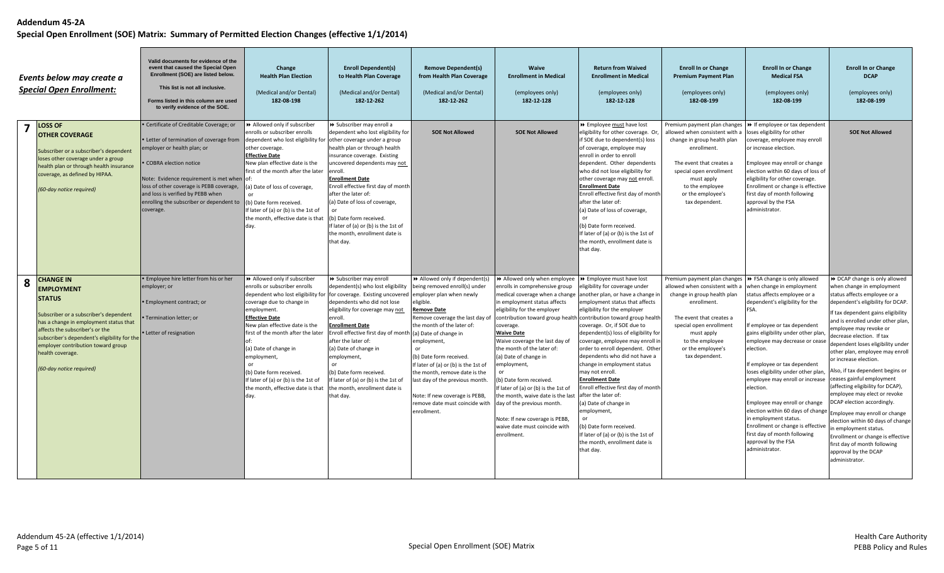|   | Events below may create a<br><b>Special Open Enrollment:</b>                                                                                                                                                                                                                                                        | Valid documents for evidence of the<br>event that caused the Special Open<br>Enrollment (SOE) are listed below.<br>This list is not all inclusive.<br>Forms listed in this column are used<br>to verify evidence of the SOE.                                                                                                       | Change<br><b>Health Plan Election</b><br>(Medical and/or Dental)<br>182-08-198                                                                                                                                                                                                                                                                                                                         | <b>Enroll Dependent(s)</b><br>to Health Plan Coverage<br>(Medical and/or Dental)<br>182-12-262                                                                                                                                                                                                                                                                                                                                                                                 | <b>Remove Dependent(s)</b><br>from Health Plan Coverage<br>(Medical and/or Dental)<br>182-12-262                                                                                                                                                                                                                                                                                                            | <b>Waive</b><br><b>Enrollment in Medical</b><br>(employees only)<br>182-12-128                                                                                                                                                                                                                                                                                                                                                                                                                                        | <b>Return from Waived</b><br><b>Enrollment in Medical</b><br>(employees only)<br>182-12-128                                                                                                                                                                                                                                                                                                                                                                                                                                                                                                                                                                                                                                         | <b>Enroll In or Change</b><br><b>Premium Payment Plan</b><br>(employees only)<br>182-08-199                                                                                                                                                 | <b>Enroll In or Change</b><br><b>Medical FSA</b><br>(employees only)<br>182-08-199                                                                                                                                                                                                                                                                                                                                                                                                                                                                                                             | <b>Enroll In or Change</b><br><b>DCAP</b><br>(employees only)<br>182-08-199                                                                                                                                                                                                                                                                                                                                                                                                                                                                                                                                                                                                                                                                         |
|---|---------------------------------------------------------------------------------------------------------------------------------------------------------------------------------------------------------------------------------------------------------------------------------------------------------------------|------------------------------------------------------------------------------------------------------------------------------------------------------------------------------------------------------------------------------------------------------------------------------------------------------------------------------------|--------------------------------------------------------------------------------------------------------------------------------------------------------------------------------------------------------------------------------------------------------------------------------------------------------------------------------------------------------------------------------------------------------|--------------------------------------------------------------------------------------------------------------------------------------------------------------------------------------------------------------------------------------------------------------------------------------------------------------------------------------------------------------------------------------------------------------------------------------------------------------------------------|-------------------------------------------------------------------------------------------------------------------------------------------------------------------------------------------------------------------------------------------------------------------------------------------------------------------------------------------------------------------------------------------------------------|-----------------------------------------------------------------------------------------------------------------------------------------------------------------------------------------------------------------------------------------------------------------------------------------------------------------------------------------------------------------------------------------------------------------------------------------------------------------------------------------------------------------------|-------------------------------------------------------------------------------------------------------------------------------------------------------------------------------------------------------------------------------------------------------------------------------------------------------------------------------------------------------------------------------------------------------------------------------------------------------------------------------------------------------------------------------------------------------------------------------------------------------------------------------------------------------------------------------------------------------------------------------------|---------------------------------------------------------------------------------------------------------------------------------------------------------------------------------------------------------------------------------------------|------------------------------------------------------------------------------------------------------------------------------------------------------------------------------------------------------------------------------------------------------------------------------------------------------------------------------------------------------------------------------------------------------------------------------------------------------------------------------------------------------------------------------------------------------------------------------------------------|-----------------------------------------------------------------------------------------------------------------------------------------------------------------------------------------------------------------------------------------------------------------------------------------------------------------------------------------------------------------------------------------------------------------------------------------------------------------------------------------------------------------------------------------------------------------------------------------------------------------------------------------------------------------------------------------------------------------------------------------------------|
| 7 | <b>LOSS OF</b><br><b>OTHER COVERAGE</b><br>Subscriber or a subscriber's dependent<br>loses other coverage under a group<br>health plan or through health insurance<br>coverage, as defined by HIPAA.<br>(60-day notice required)                                                                                    | Certificate of Creditable Coverage; or<br>• Letter of termination of coverage from<br>employer or health plan; or<br>COBRA election notice<br>Note: Evidence requirement is met when of:<br>loss of other coverage is PEBB coverage,<br>and loss is verified by PEBB when<br>enrolling the subscriber or dependent to<br>coverage. | >> Allowed only if subscriber<br>enrolls or subscriber enrolls<br>dependent who lost eligibility for other coverage under a group<br>other coverage.<br><b>Effective Date</b><br>New plan effective date is the<br>first of the month after the later<br>(a) Date of loss of coverage,<br>(b) Date form received.<br>If later of (a) or (b) is the 1st of<br>the month, effective date is that<br>day. | > Subscriber may enroll a<br>dependent who lost eligibility for<br>health plan or through health<br>insurance coverage. Existing<br>uncovered dependents may not<br>enroll.<br><b>Enrollment Date</b><br>Enroll effective first day of month<br>after the later of:<br>(a) Date of loss of coverage,<br>(b) Date form received.<br>If later of (a) or (b) is the 1st of<br>the month, enrollment date is<br>that day.                                                          | <b>SOE Not Allowed</b>                                                                                                                                                                                                                                                                                                                                                                                      | <b>SOE Not Allowed</b>                                                                                                                                                                                                                                                                                                                                                                                                                                                                                                | >> Employee must have lost<br>eligibility for other coverage. Or,<br>if SOE due to dependent(s) loss<br>of coverage, employee may<br>enroll in order to enroll<br>dependent. Other dependents<br>who did not lose eligibility for<br>other coverage may not enroll.<br><b>Enrollment Date</b><br>Enroll effective first day of month<br>after the later of:<br>(a) Date of loss of coverage,<br>(b) Date form received<br>If later of (a) or (b) is the 1st of<br>the month, enrollment date is<br>that day.                                                                                                                                                                                                                        | Premium payment plan changes<br>allowed when consistent with a<br>change in group health plan<br>enrollment.<br>The event that creates a<br>special open enrollment<br>must apply<br>to the employee<br>or the employee's<br>tax dependent. | → If employee or tax dependent<br>loses eligibility for other<br>coverage, employee may enroll<br>or increase election.<br>Employee may enroll or change<br>election within 60 days of loss of<br>eligibility for other coverage.<br>Enrollment or change is effective<br>first day of month following<br>approval by the FSA<br>administrator.                                                                                                                                                                                                                                                | <b>SOE Not Allowed</b>                                                                                                                                                                                                                                                                                                                                                                                                                                                                                                                                                                                                                                                                                                                              |
| 8 | <b>CHANGE IN</b><br><b>EMPLOYMENT</b><br><b>STATUS</b><br>Subscriber or a subscriber's dependent<br>has a change in employment status that<br>affects the subscriber's or the<br>subscriber's dependent's eligibility for the<br>employer contribution toward group<br>health coverage.<br>(60-day notice required) | . Employee hire letter from his or her<br>employer; or<br>• Employment contract; or<br>Termination letter; or<br>• Letter of resignation                                                                                                                                                                                           | >> Allowed only if subscriber<br>enrolls or subscriber enrolls<br>dependent who lost eligibility<br>coverage due to change in<br>employment.<br><b>Effective Date</b><br>New plan effective date is the<br>first of the month after the later<br>(a) Date of change in<br>employment,<br>(b) Date form received.<br>If later of (a) or (b) is the 1st of<br>the month, effective date is that<br>day.  | > Subscriber may enroll<br>dependent(s) who lost eligibility<br>for coverage. Existing uncovered employer plan when newly<br>dependents who did not lose<br>eligibility for coverage may not<br>enroll.<br><b>Enrollment Date</b><br>Enroll effective first day of month (a) Date of change in<br>after the later of:<br>(a) Date of change in<br>employment,<br>(b) Date form received.<br>If later of (a) or (b) is the 1st of<br>the month, enrollment date is<br>that day. | >> Allowed only if dependent(s<br>being removed enroll(s) under<br>ligible.<br><u>lemove Date</u><br>Remove coverage the last day of<br>the month of the later of:<br>employment,<br>(b) Date form received.<br>If later of (a) or (b) is the 1st of<br>the month, remove date is the<br>last day of the previous month.<br>Note: If new coverage is PEBB,<br>remove date must coincide with<br>enrollment. | >> Allowed only when employee<br>enrolls in comprehensive group<br>in employment status affects<br>eligibility for the employer<br>coverage.<br><b>Waive Date</b><br>Waive coverage the last day of<br>the month of the later of:<br>(a) Date of change in<br>employment,<br>(b) Date form received.<br>If later of (a) or (b) is the 1st of<br>the month, waive date is the last after the later of:<br>day of the previous month.<br>Note: If new coverage is PEBB,<br>waive date must coincide with<br>enrollment. | >> Employee must have lost<br>eligibility for coverage under<br>medical coverage when a change another plan, or have a change in<br>employment status that affects<br>eligibility for the employer<br>contribution toward group health contribution toward group health<br>coverage. Or, if SOE due to<br>dependent(s) loss of eligibility for<br>coverage, employee may enroll in<br>order to enroll dependent. Other<br>dependents who did not have a<br>change in employment status<br>may not enroll.<br><b>Enrollment Date</b><br>Enroll effective first day of month<br>(a) Date of change in<br>employment,<br>(b) Date form received.<br>If later of (a) or (b) is the 1st of<br>the month, enrollment date is<br>that day. | Premium payment plan changes<br>allowed when consistent with a<br>change in group health plan<br>enrollment.<br>The event that creates a<br>special open enrollment<br>must apply<br>to the employee<br>or the employee's<br>tax dependent. | ▶ FSA change is only allowed<br>when change in employment<br>status affects employee or a<br>dependent's eligibility for the<br>FSA.<br>If employee or tax dependent<br>gains eligibility under other plan,<br>employee may decrease or cease<br>election.<br>If employee or tax dependent<br>loses eligibility under other plan,<br>employee may enroll or increase<br>election.<br>Employee may enroll or change<br>election within 60 days of change<br>in employment status.<br>Enrollment or change is effective<br>first day of month following<br>approval by the FSA<br>administrator. | ▶ DCAP change is only allowed<br>when change in employment<br>status affects employee or a<br>dependent's eligibility for DCAP<br>If tax dependent gains eligibility<br>and is enrolled under other plan,<br>employee may revoke or<br>decrease election. If tax<br>dependent loses eligibility under<br>other plan, employee may enroll<br>or increase election.<br>Also, if tax dependent begins or<br>ceases gainful employment<br>(affecting eligibility for DCAP),<br>employee may elect or revoke<br>DCAP election accordingly.<br>Employee may enroll or change<br>election within 60 days of change<br>in employment status.<br>Enrollment or change is effective<br>first day of month following<br>approval by the DCAP<br>administrator. |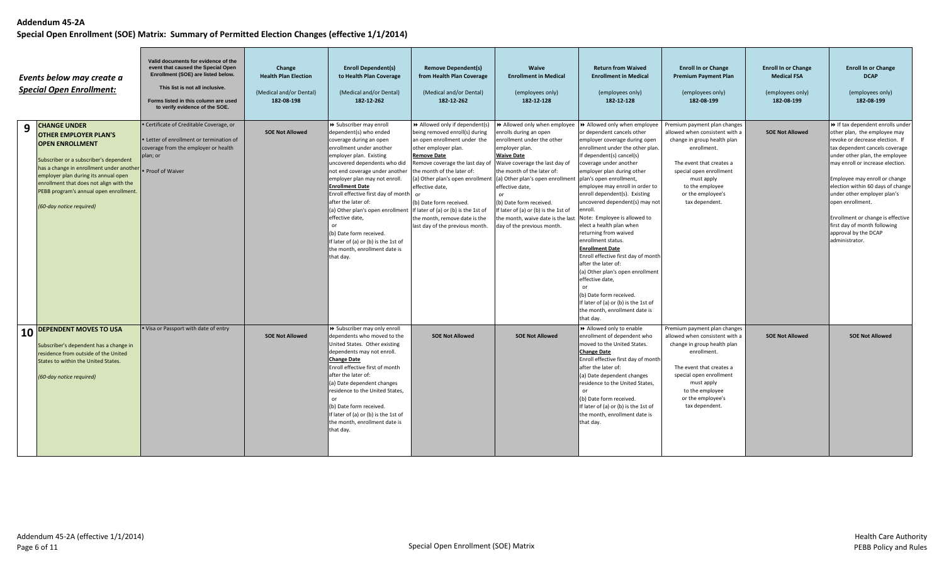|           | Events below may create a<br><b>Special Open Enrollment:</b>                                                                                                                                                                                                                                                                | Valid documents for evidence of the<br>event that caused the Special Open<br>Enrollment (SOE) are listed below.<br>This list is not all inclusive.<br>Forms listed in this column are used<br>to verify evidence of the SOE. | Change<br><b>Health Plan Election</b><br>(Medical and/or Dental)<br>182-08-198 | <b>Enroll Dependent(s)</b><br>to Health Plan Coverage<br>(Medical and/or Dental)<br>182-12-262                                                                                                                                                                                                                                                                                                                                                                                                                                                                            | <b>Remove Dependent(s)</b><br>from Health Plan Coverage<br>(Medical and/or Dental)<br>182-12-262                                                                                                                                                                                                                                         | <b>Waive</b><br><b>Enrollment in Medical</b><br>(employees only)<br>182-12-128                                                                                                                                                                                                                                                                                                                                                                 | <b>Return from Waived</b><br><b>Enrollment in Medical</b><br>(employees only)<br>182-12-128                                                                                                                                                                                                                                                                                                                                                                                                                                                                                                                                                                                  | <b>Enroll In or Change</b><br><b>Premium Payment Plan</b><br>(employees only)<br>182-08-199                                                                                                                                                 | <b>Enroll In or Change</b><br><b>Medical FSA</b><br>(employees only)<br>182-08-199 | <b>Enroll In or Change</b><br><b>DCAP</b><br>(employees only)<br>182-08-199                                                                                                                                                                                                                                                                                                                                                                          |
|-----------|-----------------------------------------------------------------------------------------------------------------------------------------------------------------------------------------------------------------------------------------------------------------------------------------------------------------------------|------------------------------------------------------------------------------------------------------------------------------------------------------------------------------------------------------------------------------|--------------------------------------------------------------------------------|---------------------------------------------------------------------------------------------------------------------------------------------------------------------------------------------------------------------------------------------------------------------------------------------------------------------------------------------------------------------------------------------------------------------------------------------------------------------------------------------------------------------------------------------------------------------------|------------------------------------------------------------------------------------------------------------------------------------------------------------------------------------------------------------------------------------------------------------------------------------------------------------------------------------------|------------------------------------------------------------------------------------------------------------------------------------------------------------------------------------------------------------------------------------------------------------------------------------------------------------------------------------------------------------------------------------------------------------------------------------------------|------------------------------------------------------------------------------------------------------------------------------------------------------------------------------------------------------------------------------------------------------------------------------------------------------------------------------------------------------------------------------------------------------------------------------------------------------------------------------------------------------------------------------------------------------------------------------------------------------------------------------------------------------------------------------|---------------------------------------------------------------------------------------------------------------------------------------------------------------------------------------------------------------------------------------------|------------------------------------------------------------------------------------|------------------------------------------------------------------------------------------------------------------------------------------------------------------------------------------------------------------------------------------------------------------------------------------------------------------------------------------------------------------------------------------------------------------------------------------------------|
| 9         | <b>CHANGE UNDER</b><br><b>OTHER EMPLOYER PLAN'S</b><br><b>OPEN ENROLLMENT</b><br>Subscriber or a subscriber's dependent<br>has a change in enrollment under another<br>employer plan during its annual open<br>enrollment that does not align with the<br>PEBB program's annual open enrollment<br>(60-day notice required) | · Certificate of Creditable Coverage, or<br>• Letter of enrollment or termination of<br>coverage from the employer or health<br>plan; or<br>• Proof of Waiver                                                                | <b>SOE Not Allowed</b>                                                         | > Subscriber may enroll<br>dependent(s) who ended<br>coverage during an open<br>enrollment under another<br>employer plan. Existing<br>uncovered dependents who did<br>not end coverage under another the month of the later of:<br>employer plan may not enroll.<br><b>Enrollment Date</b><br>Enroll effective first day of month or<br>after the later of:<br>(a) Other plan's open enrollment If later of (a) or (b) is the 1st of<br>effective date,<br>(b) Date form received.<br>If later of (a) or (b) is the 1st of<br>the month, enrollment date is<br>that day. | >> Allowed only if dependent(s)<br>being removed enroll(s) during<br>an open enrollment under the<br>other employer plan.<br><b>Remove Date</b><br>Remove coverage the last day of<br>(a) Other plan's open enrollment<br>effective date,<br>(b) Date form received.<br>the month, remove date is the<br>last day of the previous month. | >> Allowed only when employee<br>enrolls during an open<br>enrollment under the other<br>employer plan.<br><b>Waive Date</b><br>Waive coverage the last day of<br>the month of the later of:<br>(a) Other plan's open enrollment plan's open enrollment,<br>effective date,<br>(b) Date form received.<br>If later of (a) or (b) is the 1st of<br>the month, waive date is the last Note: Employee is allowed to<br>day of the previous month. | >> Allowed only when employee<br>or dependent cancels other<br>employer coverage during open<br>enrollment under the other plan.<br>If dependent(s) cancel(s)<br>coverage under another<br>employer plan during other<br>employee may enroll in order to<br>enroll dependent(s). Existing<br>uncovered dependent(s) may not<br>elect a health plan when<br>returning from waived<br>enrollment status.<br><b>Enrollment Date</b><br>Enroll effective first day of month<br>after the later of:<br>(a) Other plan's open enrollment<br>effective date,<br>or<br>(b) Date form received.<br>If later of (a) or (b) is the 1st of<br>the month, enrollment date is<br>that day. | Premium payment plan changes<br>allowed when consistent with a<br>change in group health plan<br>enrollment.<br>The event that creates a<br>special open enrollment<br>must apply<br>to the employee<br>or the employee's<br>tax dependent. | <b>SOE Not Allowed</b>                                                             | >> If tax dependent enrolls under<br>other plan, the employee may<br>revoke or decrease election. If<br>tax dependent cancels coverage<br>under other plan, the employee<br>may enroll or increase election.<br>Employee may enroll or change<br>election within 60 days of change<br>under other employer plan's<br>open enrollment.<br>Enrollment or change is effective<br>first day of month following<br>approval by the DCAP<br>administrator. |
| <b>10</b> | <b>DEPENDENT MOVES TO USA</b><br>Subscriber's dependent has a change in<br>residence from outside of the United<br>States to within the United States.<br>(60-day notice required)                                                                                                                                          | . Visa or Passport with date of entry                                                                                                                                                                                        | <b>SOE Not Allowed</b>                                                         | > Subscriber may only enroll<br>dependents who moved to the<br>United States. Other existing<br>dependents may not enroll.<br><b>Change Date</b><br>Enroll effective first of month<br>after the later of:<br>(a) Date dependent changes<br>residence to the United States.<br>(b) Date form received.<br>If later of (a) or (b) is the 1st of<br>the month, enrollment date is<br>that day.                                                                                                                                                                              | <b>SOE Not Allowed</b>                                                                                                                                                                                                                                                                                                                   | <b>SOE Not Allowed</b>                                                                                                                                                                                                                                                                                                                                                                                                                         | >> Allowed only to enable<br>enrollment of dependent who<br>moved to the United States.<br><b>Change Date</b><br>Enroll effective first day of month<br>after the later of:<br>(a) Date dependent changes<br>residence to the United States,<br>(b) Date form received.<br>If later of (a) or (b) is the 1st of<br>the month, enrollment date is<br>that day.                                                                                                                                                                                                                                                                                                                | Premium payment plan changes<br>allowed when consistent with a<br>change in group health plan<br>enrollment.<br>The event that creates a<br>special open enrollment<br>must apply<br>to the employee<br>or the employee's<br>tax dependent. | <b>SOE Not Allowed</b>                                                             | <b>SOE Not Allowed</b>                                                                                                                                                                                                                                                                                                                                                                                                                               |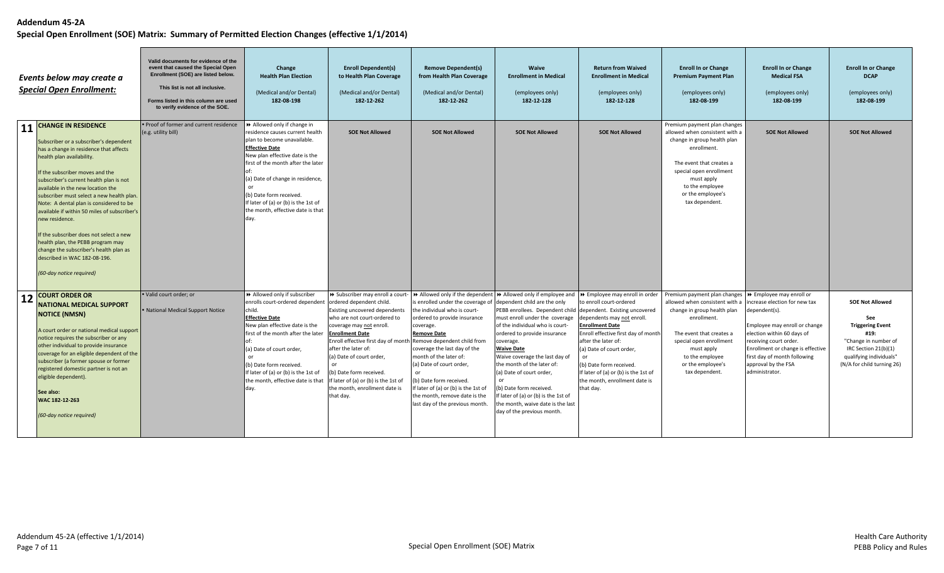|           | Events below may create a<br><b>Special Open Enrollment:</b>                                                                                                                                                                                                                                                                                                                                                                                                                                                                                                                                                   | Valid documents for evidence of the<br>event that caused the Special Open<br>Enrollment (SOE) are listed below.<br>This list is not all inclusive.<br>Forms listed in this column are used<br>to verify evidence of the SOE. | Change<br><b>Health Plan Election</b><br>(Medical and/or Dental)<br>182-08-198                                                                                                                                                                                                                                                                   | <b>Enroll Dependent(s)</b><br>to Health Plan Coverage<br>(Medical and/or Dental)<br>182-12-262                                                                                                                                                                                                                                                                                         | <b>Remove Dependent(s)</b><br>from Health Plan Coverage<br>(Medical and/or Dental)<br>182-12-262                                                                                                                                                                                                                                                                                                                                                                                                         | Waive<br><b>Enrollment in Medical</b><br>(employees only)<br>182-12-128                                                                                                                                                                                                                                                                                                                                                                                                | <b>Return from Waived</b><br><b>Enrollment in Medical</b><br>(employees only)<br>182-12-128                                                                                                                                                                                                                                   | <b>Enroll In or Change</b><br><b>Premium Payment Plan</b><br>(employees only)<br>182-08-199                                                                                                                                                 | <b>Enroll In or Change</b><br><b>Medical FSA</b><br>(employees only)<br>182-08-199                                                                                                                                                                                               | <b>Enroll In or Change</b><br><b>DCAP</b><br>(employees only)<br>182-08-199                                                                                               |
|-----------|----------------------------------------------------------------------------------------------------------------------------------------------------------------------------------------------------------------------------------------------------------------------------------------------------------------------------------------------------------------------------------------------------------------------------------------------------------------------------------------------------------------------------------------------------------------------------------------------------------------|------------------------------------------------------------------------------------------------------------------------------------------------------------------------------------------------------------------------------|--------------------------------------------------------------------------------------------------------------------------------------------------------------------------------------------------------------------------------------------------------------------------------------------------------------------------------------------------|----------------------------------------------------------------------------------------------------------------------------------------------------------------------------------------------------------------------------------------------------------------------------------------------------------------------------------------------------------------------------------------|----------------------------------------------------------------------------------------------------------------------------------------------------------------------------------------------------------------------------------------------------------------------------------------------------------------------------------------------------------------------------------------------------------------------------------------------------------------------------------------------------------|------------------------------------------------------------------------------------------------------------------------------------------------------------------------------------------------------------------------------------------------------------------------------------------------------------------------------------------------------------------------------------------------------------------------------------------------------------------------|-------------------------------------------------------------------------------------------------------------------------------------------------------------------------------------------------------------------------------------------------------------------------------------------------------------------------------|---------------------------------------------------------------------------------------------------------------------------------------------------------------------------------------------------------------------------------------------|----------------------------------------------------------------------------------------------------------------------------------------------------------------------------------------------------------------------------------------------------------------------------------|---------------------------------------------------------------------------------------------------------------------------------------------------------------------------|
| <b>11</b> | <b>CHANGE IN RESIDENCE</b><br>Subscriber or a subscriber's dependent<br>has a change in residence that affects<br>health plan availability.<br>If the subscriber moves and the<br>subscriber's current health plan is not<br>available in the new location the<br>subscriber must select a new health plan.<br>Note: A dental plan is considered to be<br>available if within 50 miles of subscriber's<br>new residence.<br>If the subscriber does not select a new<br>health plan, the PEBB program may<br>change the subscriber's health plan as<br>described in WAC 182-08-196.<br>(60-day notice required) | . Proof of former and current residence<br>(e.g. utility bill)                                                                                                                                                               | Allowed only if change in<br>residence causes current health<br>plan to become unavailable.<br><b>Effective Date</b><br>New plan effective date is the<br>first of the month after the later<br>(a) Date of change in residence,<br>(b) Date form received.<br>If later of (a) or (b) is the 1st of<br>the month, effective date is that<br>day. | <b>SOE Not Allowed</b>                                                                                                                                                                                                                                                                                                                                                                 | <b>SOE Not Allowed</b>                                                                                                                                                                                                                                                                                                                                                                                                                                                                                   | <b>SOE Not Allowed</b>                                                                                                                                                                                                                                                                                                                                                                                                                                                 | <b>SOE Not Allowed</b>                                                                                                                                                                                                                                                                                                        | Premium payment plan changes<br>allowed when consistent with a<br>change in group health plan<br>enrollment.<br>The event that creates a<br>special open enrollment<br>must apply<br>to the employee<br>or the employee's<br>tax dependent. | <b>SOE Not Allowed</b>                                                                                                                                                                                                                                                           | <b>SOE Not Allowed</b>                                                                                                                                                    |
| <b>12</b> | <b>COURT ORDER OR</b><br><b>NATIONAL MEDICAL SUPPORT</b><br><b>NOTICE (NMSN)</b><br>A court order or national medical support<br>notice requires the subscriber or any<br>other individual to provide insurance<br>coverage for an eligible dependent of the<br>subscriber (a former spouse or former<br>registered domestic partner is not an<br>eligible dependent).<br>See also:<br>WAC 182-12-263<br>(60-day notice required)                                                                                                                                                                              | · Valid court order; or<br>• National Medical Support Notice                                                                                                                                                                 | >> Allowed only if subscriber<br>enrolls court-ordered dependent<br>child.<br><b>Effective Date</b><br>New plan effective date is the<br>first of the month after the later<br>(a) Date of court order,<br>(b) Date form received.<br>If later of (a) or (b) is the 1st of<br>the month, effective date is that<br>day.                          | ordered dependent child.<br>Existing uncovered dependent:<br>who are not court-ordered to<br>coverage may not enroll.<br><b>Enrollment Date</b><br>Enroll effective first day of month Remove dependent child from<br>after the later of:<br>(a) Date of court order,<br>(b) Date form received.<br>If later of (a) or (b) is the 1st of<br>the month, enrollment date is<br>that day. | $\rightarrow$ Subscriber may enroll a court- $\rightarrow$ Allowed only if the dependent $\rightarrow$ Allowed only if employee and<br>is enrolled under the coverage of<br>the individual who is court-<br>ordered to provide insurance<br>coverage.<br><b>Remove Date</b><br>coverage the last day of the<br>month of the later of:<br>(a) Date of court order,<br>(b) Date form received.<br>If later of (a) or (b) is the 1st of<br>the month, remove date is the<br>last day of the previous month. | dependent child are the only<br>PEBB enrollees. Dependent child dependent. Existing uncovered<br>must enroll under the coverage<br>of the individual who is court-<br>ordered to provide insurance<br>coverage.<br><b>Waive Date</b><br>Waive coverage the last day of<br>the month of the later of:<br>(a) Date of court order,<br>(b) Date form received.<br>If later of (a) or (b) is the 1st of<br>the month, waive date is the last<br>day of the previous month. | >> Employee may enroll in order<br>to enroll court-ordered<br>dependents may not enroll.<br><b>Enrollment Date</b><br>Enroll effective first day of month<br>after the later of:<br>(a) Date of court order,<br>(b) Date form received.<br>If later of (a) or (b) is the 1st of<br>the month, enrollment date is<br>that day. | Premium payment plan changes<br>allowed when consistent with a<br>change in group health plan<br>enrollment.<br>The event that creates a<br>special open enrollment<br>must apply<br>to the employee<br>or the employee's<br>tax dependent. | ▶ Employee may enroll or<br>ncrease election for new tax<br>dependent(s).<br>Employee may enroll or change<br>election within 60 days of<br>receiving court order.<br>Enrollment or change is effective<br>first day of month following<br>approval by the FSA<br>administrator. | <b>SOE Not Allowed</b><br>See<br><b>Triggering Event</b><br>#19:<br>"Change in number of<br>IRC Section 21(b)(1)<br>qualifying individuals"<br>(N/A for child turning 26) |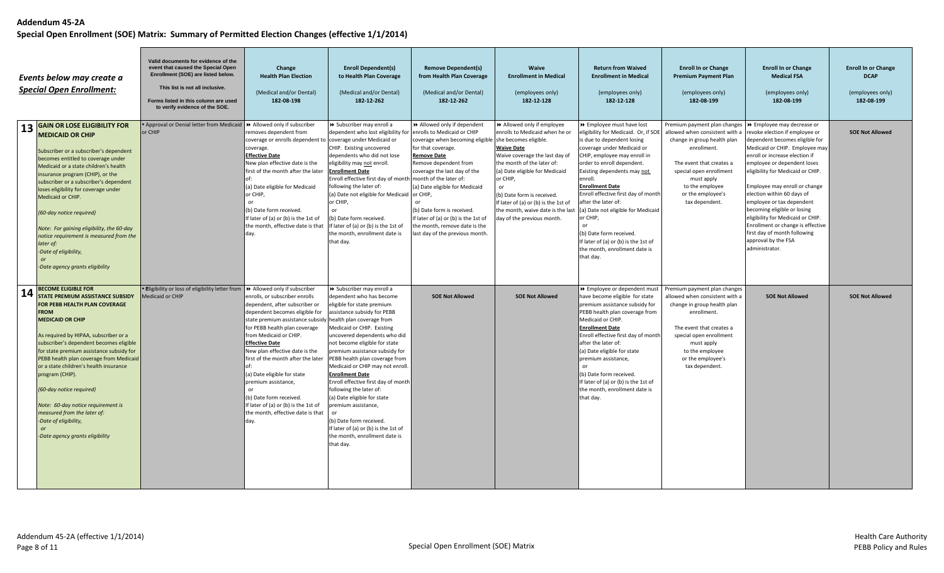|           | Events below may create a<br><b>Special Open Enrollment:</b>                                                                                                                                                                                                                                                                                                                                                                                                                                                                                          | Valid documents for evidence of the<br>event that caused the Special Open<br>Enrollment (SOE) are listed below.<br>This list is not all inclusive.<br>Forms listed in this column are used<br>to verify evidence of the SOE. | Change<br><b>Health Plan Election</b><br>(Medical and/or Dental)<br>182-08-198                                                                                                                                                                                                                                                                                                                                                                                                                           | <b>Enroll Dependent(s)</b><br>to Health Plan Coverage<br>(Medical and/or Dental)<br>182-12-262                                                                                                                                                                                                                                                                                                                                                                                                                                                                                                                                  | <b>Remove Dependent(s)</b><br>from Health Plan Coverage<br>(Medical and/or Dental)<br>182-12-262                                                                                                                                                                                                                                                                                      | Waive<br><b>Enrollment in Medical</b><br>(employees only)<br>182-12-128                                                                                                                                                                                                                                                                                            | <b>Return from Waived</b><br><b>Enrollment in Medical</b><br>(employees only)<br>182-12-128                                                                                                                                                                                                                                                                                                                                                                                                                     | <b>Enroll In or Change</b><br><b>Premium Payment Plan</b><br>(employees only)<br>182-08-199                                                                                                                                                 | <b>Enroll In or Change</b><br><b>Medical FSA</b><br>(employees only)<br>182-08-199                                                                                                                                                                                                                                                                                                                                                                                                                                   | <b>Enroll In or Change</b><br><b>DCAP</b><br>(employees only)<br>182-08-199 |
|-----------|-------------------------------------------------------------------------------------------------------------------------------------------------------------------------------------------------------------------------------------------------------------------------------------------------------------------------------------------------------------------------------------------------------------------------------------------------------------------------------------------------------------------------------------------------------|------------------------------------------------------------------------------------------------------------------------------------------------------------------------------------------------------------------------------|----------------------------------------------------------------------------------------------------------------------------------------------------------------------------------------------------------------------------------------------------------------------------------------------------------------------------------------------------------------------------------------------------------------------------------------------------------------------------------------------------------|---------------------------------------------------------------------------------------------------------------------------------------------------------------------------------------------------------------------------------------------------------------------------------------------------------------------------------------------------------------------------------------------------------------------------------------------------------------------------------------------------------------------------------------------------------------------------------------------------------------------------------|---------------------------------------------------------------------------------------------------------------------------------------------------------------------------------------------------------------------------------------------------------------------------------------------------------------------------------------------------------------------------------------|--------------------------------------------------------------------------------------------------------------------------------------------------------------------------------------------------------------------------------------------------------------------------------------------------------------------------------------------------------------------|-----------------------------------------------------------------------------------------------------------------------------------------------------------------------------------------------------------------------------------------------------------------------------------------------------------------------------------------------------------------------------------------------------------------------------------------------------------------------------------------------------------------|---------------------------------------------------------------------------------------------------------------------------------------------------------------------------------------------------------------------------------------------|----------------------------------------------------------------------------------------------------------------------------------------------------------------------------------------------------------------------------------------------------------------------------------------------------------------------------------------------------------------------------------------------------------------------------------------------------------------------------------------------------------------------|-----------------------------------------------------------------------------|
| <b>13</b> | <b>GAIN OR LOSE ELIGIBILITY FOR</b><br><b>MEDICAID OR CHIP</b><br>Subscriber or a subscriber's dependent<br>becomes entitled to coverage under<br>Medicaid or a state children's health<br>insurance program (CHIP), or the<br>subscriber or a subscriber's dependent<br>loses eligibility for coverage under<br>Medicaid or CHIP.<br>(60-day notice required)<br>Note: For gaining eligibility, the 60-day<br>notice requirement is measured from the<br>later of:<br>-Date of eligibility,<br>or<br>-Date agency grants eligibility                 | Approval or Denial letter from Medicaid<br>or CHIP                                                                                                                                                                           | >> Allowed only if subscriber<br>removes dependent from<br>coverage or enrolls dependent to coverage under Medicaid or<br>coverage.<br><b>Effective Date</b><br>New plan effective date is the<br>first of the month after the later<br>(a) Date eligible for Medicaid<br>or CHIP,<br>$\alpha$ r<br>(b) Date form received.<br>If later of (a) or (b) is the 1st of<br>the month, effective date is that<br>day.                                                                                         | > Subscriber may enroll a<br>dependent who lost eligibility for<br>CHIP. Existing uncovered<br>dependents who did not lose<br>eligibility may not enroll.<br><b>Enrollment Date</b><br>Enroll effective first day of month month of the later of:<br>following the later of:<br>(a) Date not eligible for Medicaid or CHIP,<br>or CHIP,<br>(b) Date form received.<br>If later of (a) or (b) is the 1st of<br>the month, enrollment date is<br>that day.                                                                                                                                                                        | >> Allowed only if dependent<br>enrolls to Medicaid or CHIP<br>coverage when becoming eligible<br>for that coverage.<br><b>Remove Date</b><br>Remove dependent from<br>coverage the last day of the<br>(a) Date eligible for Medicaid<br>or<br>(b) Date form is received.<br>If later of (a) or (b) is the 1st of<br>the month, remove date is the<br>last day of the previous month. | >> Allowed only if employee<br>enrolls to Medicaid when he or<br>she becomes eligible.<br><b>Waive Date</b><br>Waive coverage the last day of<br>the month of the later of:<br>(a) Date eligible for Medicaid<br>or CHIP,<br>(b) Date form is received.<br>If later of (a) or (b) is the 1st of<br>the month, waive date is the last<br>day of the previous month. | >> Employee must have lost<br>eligibility for Medicaid. Or, if SOE<br>is due to dependent losing<br>coverage under Medicaid or<br>CHIP, employee may enroll in<br>order to enroll dependent.<br>Existing dependents may not<br>enroll.<br><b>Enrollment Date</b><br>Enroll effective first day of month<br>after the later of:<br>(a) Date not eligible for Medicaid<br>or CHIP,<br>$\alpha$ r<br>(b) Date form received.<br>If later of (a) or (b) is the 1st of<br>the month, enrollment date is<br>that day. | Premium payment plan changes<br>allowed when consistent with a<br>change in group health plan<br>enrollment.<br>The event that creates a<br>special open enrollment<br>must apply<br>to the employee<br>or the employee's<br>tax dependent. | → Employee may decrease or<br>revoke election if employee or<br>dependent becomes eligible for<br>Medicaid or CHIP. Employee may<br>enroll or increase election if<br>employee or dependent loses<br>eligibility for Medicaid or CHIP.<br>Employee may enroll or change<br>election within 60 days of<br>employee or tax dependent<br>becoming eligible or losing<br>eligibility for Medicaid or CHIP.<br>Enrollment or change is effective<br>first day of month following<br>approval by the FSA<br>administrator. | <b>SOE Not Allowed</b>                                                      |
| 14        | <b>BECOME ELIGIBLE FOR</b><br><b>STATE PREMIUM ASSISTANCE SUBSIDY</b><br>FOR PEBB HEALTH PLAN COVERAGE<br><b>FROM</b><br><b>MEDICAID OR CHIP</b><br>As required by HIPAA, subscriber or a<br>subscriber's dependent becomes eligible<br>for state premium assistance subsidy for<br>PEBB health plan coverage from Medicaid<br>or a state children's health insurance<br>program (CHIP).<br>(60-day notice required)<br>Note: 60-day notice requirement is<br>measured from the later of:<br>-Date of eligibility,<br>-Date agency grants eligibility | . Migibility or loss of eligibility letter from<br><b>Medicaid or CHIP</b>                                                                                                                                                   | → Allowed only if subscriber<br>enrolls, or subscriber enrolls<br>dependent, after subscriber or<br>dependent becomes eligible for<br>state premium assistance subsidy<br>for PEBB health plan coverage<br>from Medicaid or CHIP.<br><b>Effective Date</b><br>New plan effective date is the<br>first of the month after the later<br>(a) Date eligible for state<br>premium assistance,<br>(b) Date form received.<br>If later of (a) or (b) is the 1st of<br>the month, effective date is that<br>day. | > Subscriber may enroll a<br>dependent who has become<br>eligible for state premium<br>assistance subsidy for PEBB<br>health plan coverage from<br>Medicaid or CHIP. Existing<br>uncovered dependents who did<br>not become eligible for state<br>premium assistance subsidy for<br>PEBB health plan coverage from<br>Medicaid or CHIP may not enroll.<br><b>Enrollment Date</b><br>Enroll effective first day of month<br>following the later of:<br>(a) Date eligible for state<br>oremium assistance,<br>or<br>(b) Date form received.<br>If later of (a) or (b) is the 1st of<br>the month, enrollment date is<br>that day. | <b>SOE Not Allowed</b>                                                                                                                                                                                                                                                                                                                                                                | <b>SOE Not Allowed</b>                                                                                                                                                                                                                                                                                                                                             | >> Employee or dependent must<br>have become eligible for state<br>premium assistance subsidy for<br>PEBB health plan coverage from<br>Medicaid or CHIP.<br><b>Enrollment Date</b><br>Enroll effective first day of month<br>after the later of:<br>(a) Date eligible for state<br>premium assistance,<br>(b) Date form received.<br>If later of (a) or (b) is the 1st of<br>the month, enrollment date is<br>that day.                                                                                         | Premium payment plan changes<br>allowed when consistent with a<br>change in group health plan<br>enrollment.<br>The event that creates a<br>special open enrollment<br>must apply<br>to the employee<br>or the employee's<br>tax dependent. | <b>SOE Not Allowed</b>                                                                                                                                                                                                                                                                                                                                                                                                                                                                                               | <b>SOE Not Allowed</b>                                                      |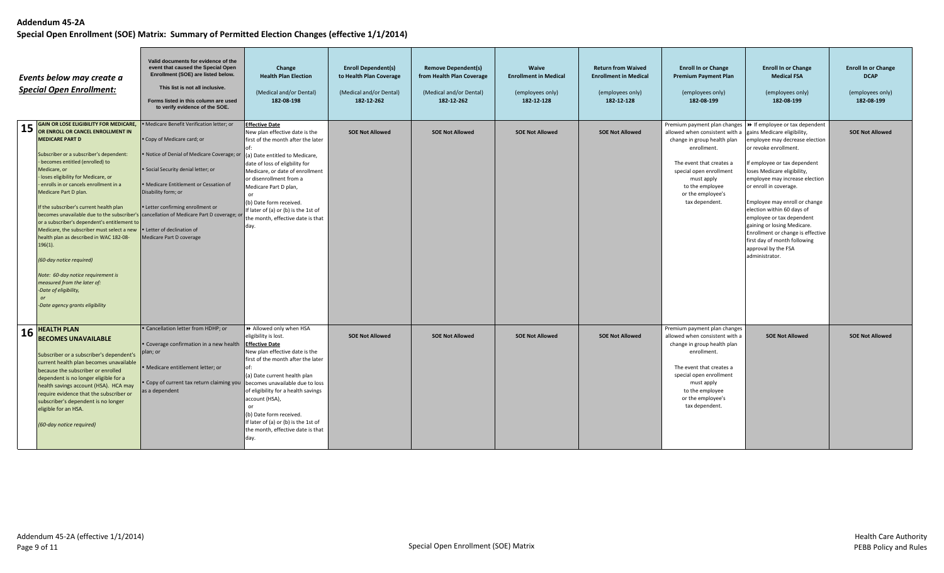|    | Events below may create a<br><b>Special Open Enrollment:</b>                                                                                                                                                                                                                                                                                                                                                                                                                                                                                                                                                                                                                                                                                                                                 | Valid documents for evidence of the<br>event that caused the Special Open<br>Enrollment (SOE) are listed below.<br>This list is not all inclusive.<br>Forms listed in this column are used<br>to verify evidence of the SOE.                                                                                                    | Change<br><b>Health Plan Election</b><br>(Medical and/or Dental)<br>182-08-198                                                                                                                                                                                                                                                                                                                      | <b>Enroll Dependent(s)</b><br>to Health Plan Coverage<br>(Medical and/or Dental)<br>182-12-262 | <b>Remove Dependent(s)</b><br>from Health Plan Coverage<br>(Medical and/or Dental)<br>182-12-262 | Waive<br><b>Enrollment in Medical</b><br>(employees only)<br>182-12-128 | <b>Return from Waived</b><br><b>Enrollment in Medical</b><br>(employees only)<br>182-12-128 | <b>Enroll In or Change</b><br><b>Premium Payment Plan</b><br>(employees only)<br>182-08-199                                                                                                                                                 | <b>Enroll In or Change</b><br><b>Medical FSA</b><br>(employees only)<br>182-08-199                                                                                                                                                                                                                                                                                                                                                                                                                                                    | <b>Enroll In or Change</b><br><b>DCAP</b><br>(employees only)<br>182-08-199 |
|----|----------------------------------------------------------------------------------------------------------------------------------------------------------------------------------------------------------------------------------------------------------------------------------------------------------------------------------------------------------------------------------------------------------------------------------------------------------------------------------------------------------------------------------------------------------------------------------------------------------------------------------------------------------------------------------------------------------------------------------------------------------------------------------------------|---------------------------------------------------------------------------------------------------------------------------------------------------------------------------------------------------------------------------------------------------------------------------------------------------------------------------------|-----------------------------------------------------------------------------------------------------------------------------------------------------------------------------------------------------------------------------------------------------------------------------------------------------------------------------------------------------------------------------------------------------|------------------------------------------------------------------------------------------------|--------------------------------------------------------------------------------------------------|-------------------------------------------------------------------------|---------------------------------------------------------------------------------------------|---------------------------------------------------------------------------------------------------------------------------------------------------------------------------------------------------------------------------------------------|---------------------------------------------------------------------------------------------------------------------------------------------------------------------------------------------------------------------------------------------------------------------------------------------------------------------------------------------------------------------------------------------------------------------------------------------------------------------------------------------------------------------------------------|-----------------------------------------------------------------------------|
| 15 | <b>GAIN OR LOSE ELIGIBILITY FOR MEDICARE,</b><br>OR ENROLL OR CANCEL ENROLLMENT IN<br><b>MEDICARE PART D</b><br>Subscriber or a subscriber's dependent:<br>becomes entitled (enrolled) to<br>Medicare, or<br>- loses eligibility for Medicare, or<br>enrolls in or cancels enrollment in a<br>Medicare Part D plan.<br>If the subscriber's current health plan<br>becomes unavailable due to the subscriber's cancellation of Medicare Part D coverage; or<br>or a subscriber's dependent's entitlement to<br>Medicare, the subscriber must select a new<br>health plan as described in WAC 182-08-<br>$196(1)$ .<br>(60-day notice required)<br>Note: 60-day notice requirement is<br>measured from the later of:<br>-Date of eligibility,<br>$\alpha$ r<br>-Date agency grants eligibility | · Medicare Benefit Verification letter; or<br>• Copy of Medicare card; or<br>· Notice of Denial of Medicare Coverage; or<br>• Social Security denial letter; or<br>• Medicare Entitlement or Cessation of<br>Disability form; or<br>• Letter confirming enrollment or<br>• Letter of declination of<br>Medicare Part D coverage | <b>Effective Date</b><br>New plan effective date is the<br>first of the month after the later<br>(a) Date entitled to Medicare,<br>date of loss of eligbility for<br>Medicare, or date of enrollment<br>or disenrollment from a<br>Medicare Part D plan,<br>$\alpha$ r<br>(b) Date form received.<br>If later of (a) or (b) is the 1st of<br>the month, effective date is that<br>day.              | <b>SOE Not Allowed</b>                                                                         | <b>SOE Not Allowed</b>                                                                           | <b>SOE Not Allowed</b>                                                  | <b>SOE Not Allowed</b>                                                                      | allowed when consistent with a<br>change in group health plan<br>enrollment.<br>The event that creates a<br>special open enrollment<br>must apply<br>to the employee<br>or the employee's<br>tax dependent.                                 | Premium payment plan changes $\rightarrow$ If employee or tax dependent<br>gains Medicare eligibility,<br>employee may decrease election<br>or revoke enrollment.<br>If employee or tax dependent<br>loses Medicare eligibility,<br>employee may increase election<br>or enroll in coverage.<br>Employee may enroll or change<br>election within 60 days of<br>employee or tax dependent<br>gaining or losing Medicare.<br>Enrollment or change is effective<br>first day of month following<br>approval by the FSA<br>administrator. | <b>SOE Not Allowed</b>                                                      |
| 16 | <b>HEALTH PLAN</b><br><b>BECOMES UNAVAILABLE</b><br>Subscriber or a subscriber's dependent's<br>current health plan becomes unavailable<br>because the subscriber or enrolled<br>dependent is no longer eligible for a<br>health savings account (HSA). HCA may<br>require evidence that the subscriber or<br>subscriber's dependent is no longer<br>eligible for an HSA.<br>(60-day notice required)                                                                                                                                                                                                                                                                                                                                                                                        | · Cancellation letter from HDHP; or<br>• Coverage confirmation in a new health<br>plan; or<br>Medicare entitlement letter; or<br>Copy of current tax return claiming you<br>as a dependent                                                                                                                                      | >> Allowed only when HSA<br>eligibility is lost.<br><b>Effective Date</b><br>New plan effective date is the<br>first of the month after the later<br>(a) Date current health plan<br>becomes unavailable due to loss<br>of eligibility for a health savings<br>account (HSA),<br>or<br>(b) Date form received.<br>If later of (a) or (b) is the 1st of<br>the month, effective date is that<br>day. | <b>SOE Not Allowed</b>                                                                         | <b>SOE Not Allowed</b>                                                                           | <b>SOE Not Allowed</b>                                                  | <b>SOE Not Allowed</b>                                                                      | Premium payment plan changes<br>allowed when consistent with a<br>change in group health plan<br>enrollment.<br>The event that creates a<br>special open enrollment<br>must apply<br>to the employee<br>or the employee's<br>tax dependent. | <b>SOE Not Allowed</b>                                                                                                                                                                                                                                                                                                                                                                                                                                                                                                                | <b>SOE Not Allowed</b>                                                      |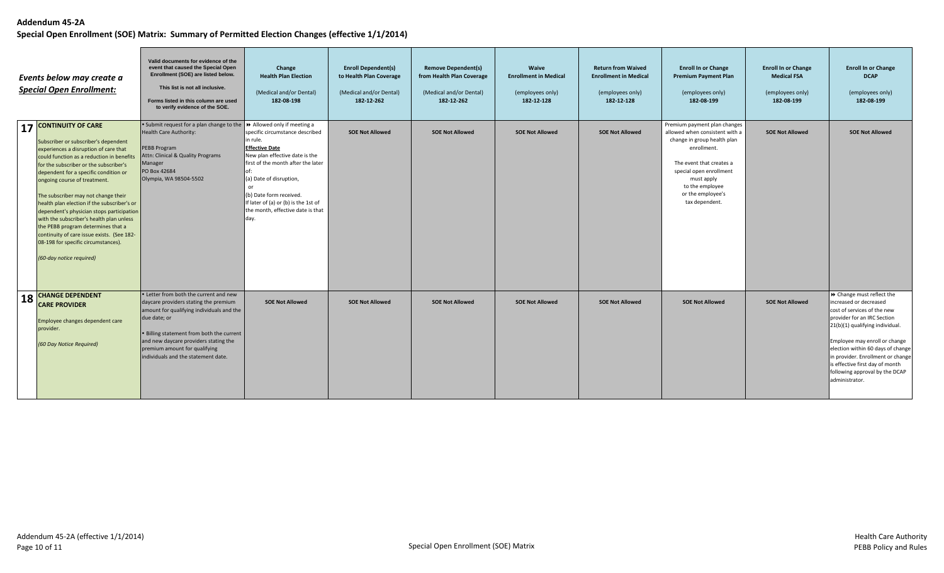|    | Events below may create a<br><b>Special Open Enrollment:</b>                                                                                                                                                                                                                                                                                                                                                                                                                                                                                                                                                 | Valid documents for evidence of the<br>event that caused the Special Open<br>Enrollment (SOE) are listed below.<br>This list is not all inclusive.<br>Forms listed in this column are used<br>to verify evidence of the SOE.                                                                               | Change<br><b>Health Plan Election</b><br>(Medical and/or Dental)<br>182-08-198                                                                                                                                                                                                          | <b>Enroll Dependent(s)</b><br>to Health Plan Coverage<br>(Medical and/or Dental)<br>182-12-262 | <b>Remove Dependent(s)</b><br>from Health Plan Coverage<br>(Medical and/or Dental)<br>182-12-262 | Waive<br><b>Enrollment in Medical</b><br>(employees only)<br>182-12-128 | <b>Return from Waived</b><br><b>Enrollment in Medical</b><br>(employees only)<br>182-12-128 | <b>Enroll In or Change</b><br><b>Premium Payment Plan</b><br>(employees only)<br>182-08-199                                                                                                                                                 | <b>Enroll In or Change</b><br><b>Medical FSA</b><br>(employees only)<br>182-08-199 | <b>Enroll In or Change</b><br><b>DCAP</b><br>(employees only)<br>182-08-199                                                                                                                                                                                                                                                                            |
|----|--------------------------------------------------------------------------------------------------------------------------------------------------------------------------------------------------------------------------------------------------------------------------------------------------------------------------------------------------------------------------------------------------------------------------------------------------------------------------------------------------------------------------------------------------------------------------------------------------------------|------------------------------------------------------------------------------------------------------------------------------------------------------------------------------------------------------------------------------------------------------------------------------------------------------------|-----------------------------------------------------------------------------------------------------------------------------------------------------------------------------------------------------------------------------------------------------------------------------------------|------------------------------------------------------------------------------------------------|--------------------------------------------------------------------------------------------------|-------------------------------------------------------------------------|---------------------------------------------------------------------------------------------|---------------------------------------------------------------------------------------------------------------------------------------------------------------------------------------------------------------------------------------------|------------------------------------------------------------------------------------|--------------------------------------------------------------------------------------------------------------------------------------------------------------------------------------------------------------------------------------------------------------------------------------------------------------------------------------------------------|
|    | 17 CONTINUITY OF CARE<br>Subscriber or subscriber's dependent<br>experiences a disruption of care that<br>could function as a reduction in benefits<br>for the subscriber or the subscriber's<br>dependent for a specific condition or<br>ongoing course of treatment.<br>The subscriber may not change their<br>health plan election if the subscriber's or<br>dependent's physician stops participation<br>with the subscriber's health plan unless<br>the PEBB program determines that a<br>continuity of care issue exists. (See 182-<br>08-198 for specific circumstances).<br>(60-day notice required) | • Submit request for a plan change to the $\rightarrow$ Allowed only if meeting a<br><b>Health Care Authority:</b><br>PEBB Program<br>Attn: Clinical & Quality Programs<br>Manager<br>PO Box 42684<br>Olympia, WA 98504-5502                                                                               | specific circumstance described<br>in rule.<br><b>Effective Date</b><br>New plan effective date is the<br>first of the month after the later<br>(a) Date of disruption,<br>(b) Date form received.<br>If later of (a) or (b) is the 1st of<br>the month, effective date is that<br>day. | <b>SOE Not Allowed</b>                                                                         | <b>SOE Not Allowed</b>                                                                           | <b>SOE Not Allowed</b>                                                  | <b>SOE Not Allowed</b>                                                                      | Premium payment plan changes<br>allowed when consistent with a<br>change in group health plan<br>enrollment.<br>The event that creates a<br>special open enrollment<br>must apply<br>to the employee<br>or the employee's<br>tax dependent. | <b>SOE Not Allowed</b>                                                             | <b>SOE Not Allowed</b>                                                                                                                                                                                                                                                                                                                                 |
| 18 | <b>CHANGE DEPENDENT</b><br><b>CARE PROVIDER</b><br>Employee changes dependent care<br>provider.<br>(60 Day Notice Required)                                                                                                                                                                                                                                                                                                                                                                                                                                                                                  | • Letter from both the current and new<br>daycare providers stating the premium<br>amount for qualifying individuals and the<br>due date; or<br>. Billing statement from both the current<br>and new daycare providers stating the<br>premium amount for qualifying<br>individuals and the statement date. | <b>SOE Not Allowed</b>                                                                                                                                                                                                                                                                  | <b>SOE Not Allowed</b>                                                                         | <b>SOE Not Allowed</b>                                                                           | <b>SOE Not Allowed</b>                                                  | <b>SOE Not Allowed</b>                                                                      | <b>SOE Not Allowed</b>                                                                                                                                                                                                                      | <b>SOE Not Allowed</b>                                                             | > Change must reflect the<br>increased or decreased<br>cost of services of the new<br>provider for an IRC Section<br>21(b)(1) qualifying individual.<br>Employee may enroll or change<br>election within 60 days of change<br>in provider. Enrollment or change<br>is effective first day of month<br>following approval by the DCAP<br>administrator. |